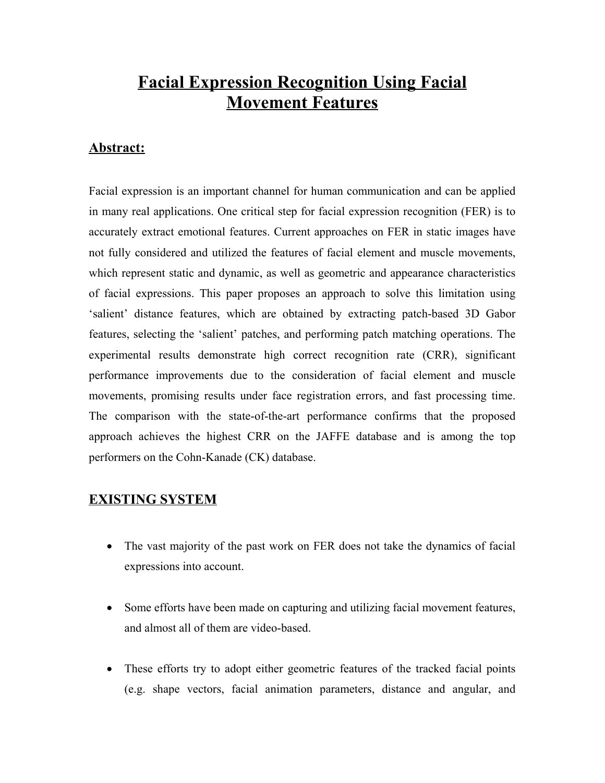# **Facial Expression Recognition Using Facial Movement Features**

## **Abstract:**

Facial expression is an important channel for human communication and can be applied in many real applications. One critical step for facial expression recognition (FER) is to accurately extract emotional features. Current approaches on FER in static images have not fully considered and utilized the features of facial element and muscle movements, which represent static and dynamic, as well as geometric and appearance characteristics of facial expressions. This paper proposes an approach to solve this limitation using salient' distance features, which are obtained by extracting patch-based 3D Gabor features, selecting the 'salient' patches, and performing patch matching operations. The experimental results demonstrate high correct recognition rate (CRR), significant performance improvements due to the consideration of facial element and muscle movements, promising results under face registration errors, and fast processing time. The comparison with the state-of-the-art performance confirms that the proposed approach achieves the highest CRR on the JAFFE database and is among the top performers on the Cohn-Kanade (CK) database.

# **EXISTING SYSTEM**

- The vast majority of the past work on FER does not take the dynamics of facial expressions into account.
- · Some efforts have been made on capturing and utilizing facial movement features, and almost all of them are video-based.
- These efforts try to adopt either geometric features of the tracked facial points (e.g. shape vectors, facial animation parameters, distance and angular, and